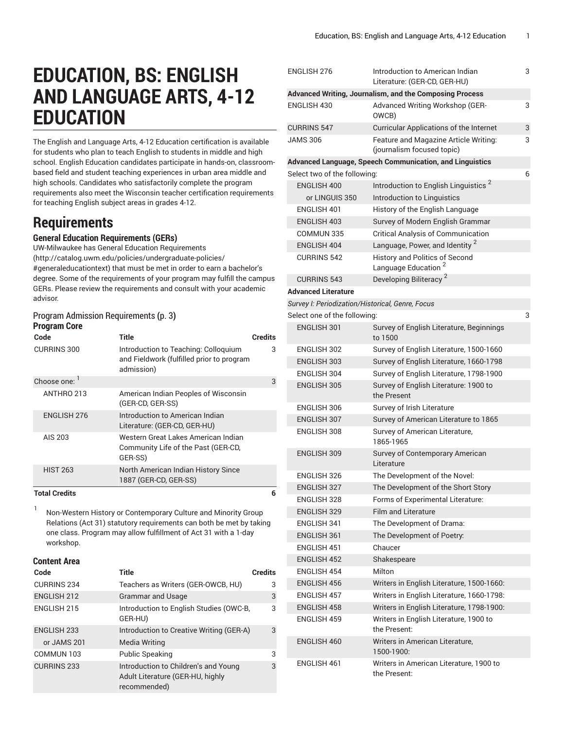# **EDUCATION, BS: ENGLISH AND LANGUAGE ARTS, 4-12 EDUCATION**

The English and Language Arts, 4-12 Education certification is available for students who plan to teach English to students in middle and high school. English Education candidates participate in hands-on, classroombased field and student teaching experiences in urban area middle and high schools. Candidates who satisfactorily complete the program requirements also meet the Wisconsin teacher certification requirements for teaching English subject areas in grades 4-12.

# **Requirements**

#### **General Education Requirements (GERs)**

UW-Milwaukee has General Education [Requirements](http://catalog.uwm.edu/policies/undergraduate-policies/#generaleducationtext) ([http://catalog.uwm.edu/policies/undergraduate-policies/](http://catalog.uwm.edu/policies/undergraduate-policies/#generaleducationtext) [#generaleducationtext](http://catalog.uwm.edu/policies/undergraduate-policies/#generaleducationtext)) that must be met in order to earn a bachelor's degree. Some of the requirements of your program may fulfill the campus GERs. Please review the requirements and consult with your academic advisor.

#### [ProgramAdmission](#page-2-0) Requirements **(**[p. 3](#page-2-0)**) Program Core**

| Code               | <b>Title</b>                                                                                    | <b>Credits</b> |
|--------------------|-------------------------------------------------------------------------------------------------|----------------|
| <b>CURRINS 300</b> | Introduction to Teaching: Colloquium<br>and Fieldwork (fulfilled prior to program<br>admission) | 3              |
| Choose one: 1      |                                                                                                 | 3              |
| ANTHRO 213         | American Indian Peoples of Wisconsin<br>(GER-CD, GER-SS)                                        |                |
| <b>ENGLISH 276</b> | Introduction to American Indian<br>Literature: (GER-CD, GER-HU)                                 |                |
| AIS 203            | Western Great Lakes American Indian<br>Community Life of the Past (GER-CD,<br>GER-SS)           |                |
| <b>HIST 263</b>    | North American Indian History Since<br>1887 (GER-CD, GER-SS)                                    |                |

#### **Total Credits 6**

1 Non-Western History or Contemporary Culture and Minority Group Relations (Act 31) statutory requirements can both be met by taking one class. Program may allow fulfillment of Act 31 with a 1-day workshop.

#### **Content Area**

|  | Code               | <b>Title</b>                                                                             | <b>Credits</b> |
|--|--------------------|------------------------------------------------------------------------------------------|----------------|
|  | <b>CURRINS 234</b> | Teachers as Writers (GER-OWCB, HU)                                                       | 3              |
|  | <b>ENGLISH 212</b> | <b>Grammar and Usage</b>                                                                 | 3              |
|  | <b>ENGLISH 215</b> | Introduction to English Studies (OWC-B,<br>GER-HU)                                       | 3              |
|  | <b>ENGLISH 233</b> | Introduction to Creative Writing (GER-A)                                                 | 3              |
|  | or JAMS 201        | Media Writing                                                                            |                |
|  | COMMUN 103         | <b>Public Speaking</b>                                                                   | 3              |
|  | <b>CURRINS 233</b> | Introduction to Children's and Young<br>Adult Literature (GER-HU, highly<br>recommended) | 3              |

| ENGLISH 276                                      | Introduction to American Indian<br>Literature: (GER-CD, GER-HU)     | 3 |
|--------------------------------------------------|---------------------------------------------------------------------|---|
|                                                  | Advanced Writing, Journalism, and the Composing Process             |   |
| ENGLISH 430                                      | Advanced Writing Workshop (GER-<br>OWCB)                            | 3 |
| <b>CURRINS 547</b>                               | <b>Curricular Applications of the Internet</b>                      | 3 |
| <b>JAMS 306</b>                                  | Feature and Magazine Article Writing:<br>(journalism focused topic) | 3 |
|                                                  | Advanced Language, Speech Communication, and Linguistics            |   |
| Select two of the following:                     |                                                                     | 6 |
| ENGLISH 400                                      | Introduction to English Linguistics <sup>2</sup>                    |   |
| or LINGUIS 350                                   | Introduction to Linguistics                                         |   |
| ENGLISH 401                                      | History of the English Language                                     |   |
| <b>ENGLISH 403</b>                               | Survey of Modern English Grammar                                    |   |
| COMMUN 335                                       | <b>Critical Analysis of Communication</b>                           |   |
| ENGLISH 404                                      | Language, Power, and Identity <sup>2</sup>                          |   |
| <b>CURRINS 542</b>                               | History and Politics of Second<br>Language Education <sup>2</sup>   |   |
| <b>CURRINS 543</b>                               | Developing Biliteracy <sup>2</sup>                                  |   |
| <b>Advanced Literature</b>                       |                                                                     |   |
| Survey I: Periodization/Historical, Genre, Focus |                                                                     |   |
| Select one of the following:                     |                                                                     | 3 |
| <b>ENGLISH 301</b>                               | Survey of English Literature, Beginnings                            |   |
|                                                  | to 1500                                                             |   |
| <b>ENGLISH 302</b>                               | Survey of English Literature, 1500-1660                             |   |
| <b>ENGLISH 303</b>                               | Survey of English Literature, 1660-1798                             |   |
| ENGLISH 304                                      | Survey of English Literature, 1798-1900                             |   |
| <b>ENGLISH 305</b>                               | Survey of English Literature: 1900 to<br>the Present                |   |
| ENGLISH 306                                      | Survey of Irish Literature                                          |   |
| <b>ENGLISH 307</b>                               | Survey of American Literature to 1865                               |   |
| ENGLISH 308                                      | Survey of American Literature,<br>1865-1965                         |   |
| <b>ENGLISH 309</b>                               | Survey of Contemporary American<br>Literature                       |   |
| <b>ENGLISH 326</b>                               | The Development of the Novel:                                       |   |
| <b>ENGLISH 327</b>                               | The Development of the Short Story                                  |   |
| ENGLISH 328                                      | Forms of Experimental Literature:                                   |   |
| ENGLISH 329                                      | <b>Film and Literature</b>                                          |   |
| ENGLISH 341                                      | The Development of Drama:                                           |   |
| <b>ENGLISH 361</b>                               | The Development of Poetry:                                          |   |
| ENGLISH 451                                      | Chaucer                                                             |   |
| <b>ENGLISH 452</b>                               | Shakespeare                                                         |   |
| ENGLISH 454                                      | Milton                                                              |   |
| <b>ENGLISH 456</b>                               | Writers in English Literature, 1500-1660:                           |   |
| <b>ENGLISH 457</b>                               | Writers in English Literature, 1660-1798:                           |   |
| <b>ENGLISH 458</b>                               | Writers in English Literature, 1798-1900:                           |   |
| ENGLISH 459                                      | Writers in English Literature, 1900 to<br>the Present:              |   |
| ENGLISH 460                                      | Writers in American Literature,<br>1500-1900:                       |   |
| <b>ENGLISH 461</b>                               | Writers in American Literature, 1900 to<br>the Present:             |   |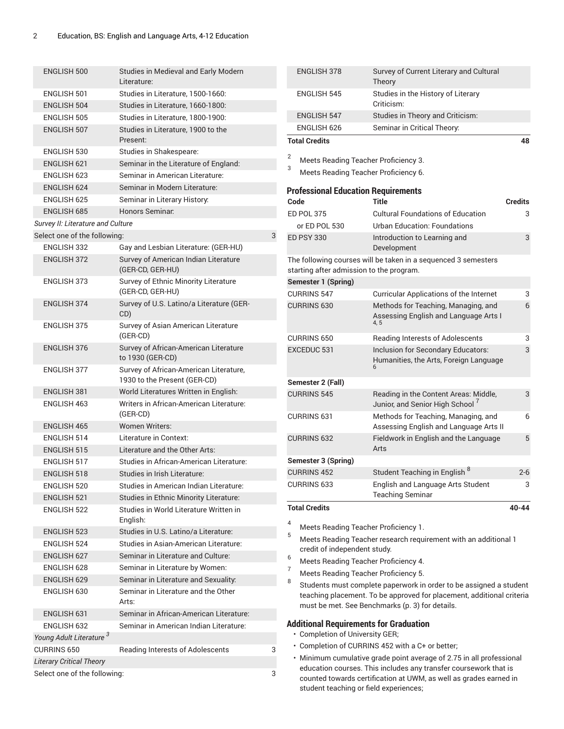| <b>ENGLISH 500</b>                  | Studies in Medieval and Early Modern<br>Literature:                    |   |  |  |  |
|-------------------------------------|------------------------------------------------------------------------|---|--|--|--|
| <b>FNGI ISH 501</b>                 | Studies in Literature, 1500-1660:                                      |   |  |  |  |
| <b>ENGLISH 504</b>                  | Studies in Literature, 1660-1800:                                      |   |  |  |  |
| <b>ENGLISH 505</b>                  | Studies in Literature, 1800-1900:                                      |   |  |  |  |
| <b>ENGLISH 507</b>                  | Studies in Literature, 1900 to the                                     |   |  |  |  |
|                                     | Present:                                                               |   |  |  |  |
| ENGLISH 530                         | Studies in Shakespeare:                                                |   |  |  |  |
| <b>ENGLISH 621</b>                  | Seminar in the Literature of England:                                  |   |  |  |  |
| <b>ENGLISH 623</b>                  | Seminar in American Literature:                                        |   |  |  |  |
| <b>ENGLISH 624</b>                  | Seminar in Modern Literature:                                          |   |  |  |  |
| ENGLISH 625                         | Seminar in Literary History:                                           |   |  |  |  |
| <b>ENGLISH 685</b>                  | Honors Seminar:                                                        |   |  |  |  |
| Survey II: Literature and Culture   |                                                                        |   |  |  |  |
| Select one of the following:        |                                                                        | 3 |  |  |  |
| <b>ENGLISH 332</b>                  | Gay and Lesbian Literature: (GER-HU)                                   |   |  |  |  |
| <b>ENGLISH 372</b>                  | Survey of American Indian Literature<br>(GER-CD, GER-HU)               |   |  |  |  |
| <b>ENGLISH 373</b>                  | Survey of Ethnic Minority Literature<br>(GER-CD, GER-HU)               |   |  |  |  |
| <b>ENGLISH 374</b>                  | Survey of U.S. Latino/a Literature (GER-<br>CD)                        |   |  |  |  |
| <b>ENGLISH 375</b>                  | Survey of Asian American Literature                                    |   |  |  |  |
|                                     | (GER-CD)                                                               |   |  |  |  |
| <b>ENGLISH 376</b>                  | Survey of African-American Literature<br>to 1930 (GER-CD)              |   |  |  |  |
| <b>ENGLISH 377</b>                  | Survey of African-American Literature,<br>1930 to the Present (GER-CD) |   |  |  |  |
| <b>ENGLISH 381</b>                  | World Literatures Written in English:                                  |   |  |  |  |
| ENGLISH 463                         | Writers in African-American Literature:<br>(GER-CD)                    |   |  |  |  |
| <b>ENGLISH 465</b>                  | <b>Women Writers:</b>                                                  |   |  |  |  |
| <b>ENGLISH 514</b>                  | Literature in Context:                                                 |   |  |  |  |
| <b>ENGLISH 515</b>                  | Literature and the Other Arts:                                         |   |  |  |  |
| <b>ENGLISH 517</b>                  | Studies in African-American Literature:                                |   |  |  |  |
| <b>ENGLISH 518</b>                  | Studies in Irish Literature:                                           |   |  |  |  |
| ENGLISH 520                         | Studies in American Indian Literature:                                 |   |  |  |  |
| <b>ENGLISH 521</b>                  | Studies in Ethnic Minority Literature:                                 |   |  |  |  |
| <b>ENGLISH 522</b>                  | Studies in World Literature Written in                                 |   |  |  |  |
|                                     | English:                                                               |   |  |  |  |
| <b>ENGLISH 523</b>                  | Studies in U.S. Latino/a Literature:                                   |   |  |  |  |
| <b>ENGLISH 524</b>                  | Studies in Asian-American Literature:                                  |   |  |  |  |
| <b>ENGLISH 627</b>                  | Seminar in Literature and Culture:                                     |   |  |  |  |
| <b>ENGLISH 628</b>                  | Seminar in Literature by Women:                                        |   |  |  |  |
| ENGLISH 629                         | Seminar in Literature and Sexuality:                                   |   |  |  |  |
| ENGLISH 630                         | Seminar in Literature and the Other<br>Arts:                           |   |  |  |  |
| <b>ENGLISH 631</b>                  | Seminar in African-American Literature:                                |   |  |  |  |
| <b>ENGLISH 632</b>                  | Seminar in American Indian Literature:                                 |   |  |  |  |
| Young Adult Literature <sup>3</sup> |                                                                        |   |  |  |  |
| <b>CURRINS 650</b>                  | Reading Interests of Adolescents                                       | 3 |  |  |  |
| <b>Literary Critical Theory</b>     |                                                                        |   |  |  |  |
|                                     | Select one of the following:<br>3                                      |   |  |  |  |
|                                     |                                                                        |   |  |  |  |

| <b>ENGLISH 378</b>                         | Survey of Current Literary and Cultural<br>Theory                                    |                |
|--------------------------------------------|--------------------------------------------------------------------------------------|----------------|
| <b>ENGLISH 545</b>                         | Studies in the History of Literary<br>Criticism:                                     |                |
| <b>ENGLISH 547</b>                         | Studies in Theory and Criticism:                                                     |                |
| ENGLISH 626                                | Seminar in Critical Theory:                                                          |                |
| <b>Total Credits</b>                       |                                                                                      | 48             |
| 2<br>Meets Reading Teacher Proficiency 3.  |                                                                                      |                |
| 3<br>Meets Reading Teacher Proficiency 6.  |                                                                                      |                |
| <b>Professional Education Requirements</b> |                                                                                      |                |
| Code                                       | Title                                                                                | <b>Credits</b> |
| <b>ED POL 375</b>                          | <b>Cultural Foundations of Education</b>                                             | 3              |
| or ED POL 530                              | Urban Education: Foundations                                                         |                |
| <b>ED PSY 330</b>                          | Introduction to Learning and<br>Development                                          | 3              |
| starting after admission to the program.   | The following courses will be taken in a sequenced 3 semesters                       |                |
| Semester 1 (Spring)                        |                                                                                      |                |
| <b>CURRINS 547</b>                         | <b>Curricular Applications of the Internet</b>                                       | 3              |
| <b>CURRINS 630</b>                         | Methods for Teaching, Managing, and<br>Assessing English and Language Arts I<br>4, 5 | 6              |
| <b>CURRINS 650</b>                         | Reading Interests of Adolescents                                                     | 3              |
| EXCEDUC 531                                | Inclusion for Secondary Educators:<br>Humanities, the Arts, Foreign Language         | 3              |
| Semester 2 (Fall)                          |                                                                                      |                |
| <b>CURRINS 545</b>                         | Reading in the Content Areas: Middle,<br>Junior, and Senior High School <sup>7</sup> | 3              |
| <b>CURRINS 631</b>                         | Methods for Teaching, Managing, and<br>Assessing English and Language Arts II        | 6              |
| <b>CURRINS 632</b>                         | Fieldwork in English and the Language<br>Arts                                        | 5              |
| Semester 3 (Spring)                        |                                                                                      |                |
| <b>CURRINS 452</b>                         | Student Teaching in English <sup>8</sup>                                             | $2 - 6$        |
| <b>CURRINS 633</b>                         | English and Language Arts Student<br><b>Teaching Seminar</b>                         | 3              |
| <b>Total Credits</b>                       |                                                                                      | $40 - 44$      |

4 Meets Reading Teacher Proficiency 1.

<sup>5</sup> Meets Reading Teacher research requirement with an additional <sup>1</sup> credit of independent study.

- <sup>6</sup> Meets Reading Teacher Proficiency 4.<br><sup>7</sup> Meets Reading Teacher Proficiency 5.
- <sup>7</sup> Meets Reading Teacher Proficiency 5.
- 8 Students must complete paperwork in order to be assigned a student teaching placement. To be approved for placement, additional criteria must be met. See [Benchmarks](#page-2-1) [\(p. 3](#page-2-1)) for details.

#### **Additional Requirements for Graduation**

- Completion of University GER;
- Completion of CURRINS 452 with a C+ or better;
- Minimum cumulative grade point average of 2.75 in all professional education courses. This includes any transfer coursework that is counted towards certification at UWM, as well as grades earned in student teaching or field experiences;